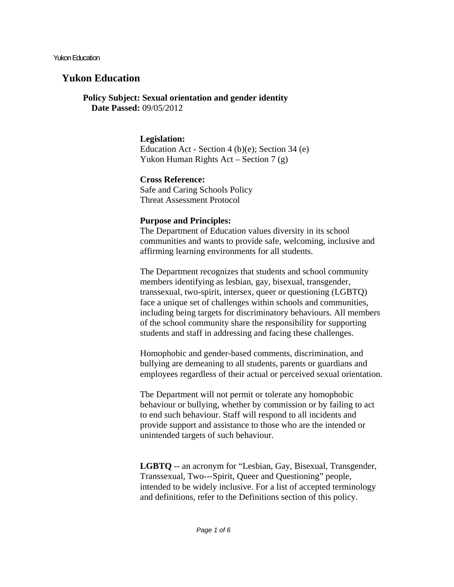Yukon Education

# **Yukon Education**

**Policy Subject: Sexual orientation and gender identity Date Passed:** 09/05/2012

# **Legislation:**

Education Act - Section 4 (b)(e); Section 34 (e) Yukon Human Rights Act – Section 7 (g)

# **Cross Reference:**

Safe and Caring Schools Policy Threat Assessment Protocol

### **Purpose and Principles:**

The Department of Education values diversity in its school communities and wants to provide safe, welcoming, inclusive and affirming learning environments for all students.

The Department recognizes that students and school community members identifying as lesbian, gay, bisexual, transgender, transsexual, two-spirit, intersex, queer or questioning (LGBTQ) face a unique set of challenges within schools and communities, including being targets for discriminatory behaviours. All members of the school community share the responsibility for supporting students and staff in addressing and facing these challenges.

Homophobic and gender-based comments, discrimination, and bullying are demeaning to all students, parents or guardians and employees regardless of their actual or perceived sexual orientation.

The Department will not permit or tolerate any homophobic behaviour or bullying, whether by commission or by failing to act to end such behaviour. Staff will respond to all incidents and provide support and assistance to those who are the intended or unintended targets of such behaviour.

**LGBTQ** -- an acronym for "Lesbian, Gay, Bisexual, Transgender, Transsexual, Two--‐Spirit, Queer and Questioning" people, intended to be widely inclusive. For a list of accepted terminology and definitions, refer to the Definitions section of this policy.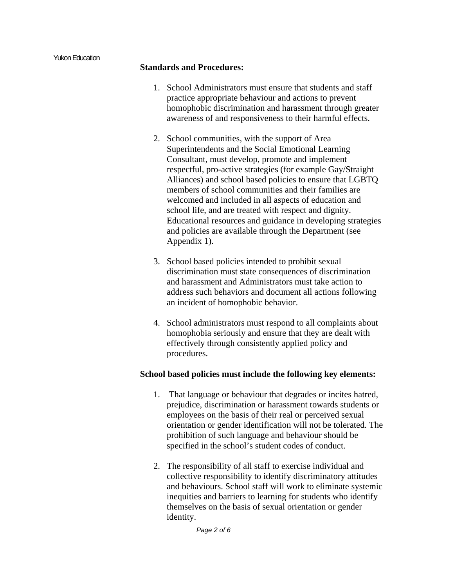#### **Standards and Procedures:**

- 1. School Administrators must ensure that students and staff practice appropriate behaviour and actions to prevent homophobic discrimination and harassment through greater awareness of and responsiveness to their harmful effects.
- 2. School communities, with the support of Area Superintendents and the Social Emotional Learning Consultant, must develop, promote and implement respectful, pro-active strategies (for example Gay/Straight Alliances) and school based policies to ensure that LGBTQ members of school communities and their families are welcomed and included in all aspects of education and school life, and are treated with respect and dignity. Educational resources and guidance in developing strategies and policies are available through the Department (see Appendix 1).
- 3. School based policies intended to prohibit sexual discrimination must state consequences of discrimination and harassment and Administrators must take action to address such behaviors and document all actions following an incident of homophobic behavior.
- 4. School administrators must respond to all complaints about homophobia seriously and ensure that they are dealt with effectively through consistently applied policy and procedures.

#### **School based policies must include the following key elements:**

- 1. That language or behaviour that degrades or incites hatred, prejudice, discrimination or harassment towards students or employees on the basis of their real or perceived sexual orientation or gender identification will not be tolerated. The prohibition of such language and behaviour should be specified in the school's student codes of conduct.
- 2. The responsibility of all staff to exercise individual and collective responsibility to identify discriminatory attitudes and behaviours. School staff will work to eliminate systemic inequities and barriers to learning for students who identify themselves on the basis of sexual orientation or gender identity.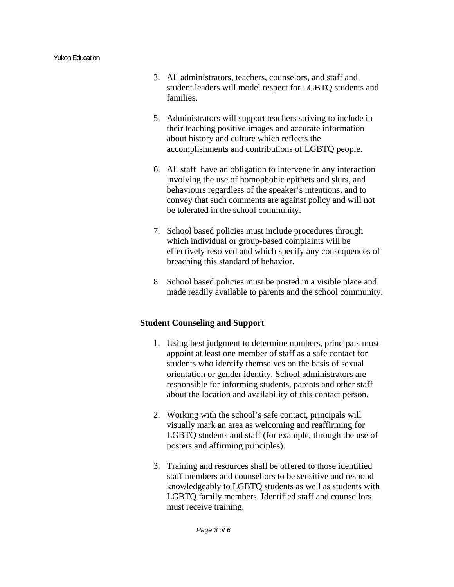- 3. All administrators, teachers, counselors, and staff and student leaders will model respect for LGBTQ students and families.
- 5. Administrators will support teachers striving to include in their teaching positive images and accurate information about history and culture which reflects the accomplishments and contributions of LGBTQ people.
- 6. All staff have an obligation to intervene in any interaction involving the use of homophobic epithets and slurs, and behaviours regardless of the speaker's intentions, and to convey that such comments are against policy and will not be tolerated in the school community.
- 7. School based policies must include procedures through which individual or group-based complaints will be effectively resolved and which specify any consequences of breaching this standard of behavior.
- 8. School based policies must be posted in a visible place and made readily available to parents and the school community.

# **Student Counseling and Support**

- 1. Using best judgment to determine numbers, principals must appoint at least one member of staff as a safe contact for students who identify themselves on the basis of sexual orientation or gender identity. School administrators are responsible for informing students, parents and other staff about the location and availability of this contact person.
- 2. Working with the school's safe contact, principals will visually mark an area as welcoming and reaffirming for LGBTQ students and staff (for example, through the use of posters and affirming principles).
- 3. Training and resources shall be offered to those identified staff members and counsellors to be sensitive and respond knowledgeably to LGBTQ students as well as students with LGBTQ family members. Identified staff and counsellors must receive training.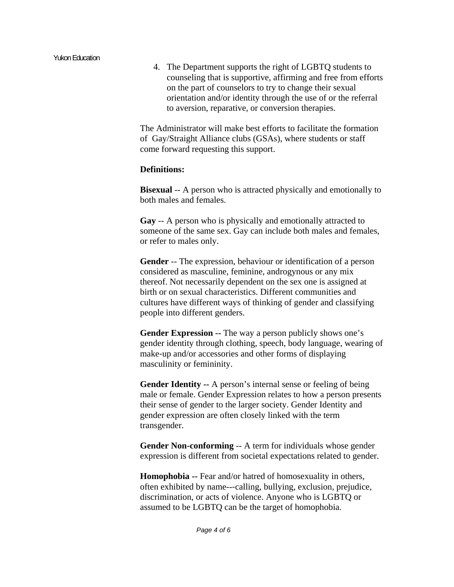4. The Department supports the right of LGBTQ students to counseling that is supportive, affirming and free from efforts on the part of counselors to try to change their sexual orientation and/or identity through the use of or the referral to aversion, reparative, or conversion therapies.

The Administrator will make best efforts to facilitate the formation of Gay/Straight Alliance clubs (GSAs), where students or staff come forward requesting this support.

### **Definitions:**

**Bisexual** -- A person who is attracted physically and emotionally to both males and females.

**Gay** -- A person who is physically and emotionally attracted to someone of the same sex. Gay can include both males and females, or refer to males only.

**Gender** -- The expression, behaviour or identification of a person considered as masculine, feminine, androgynous or any mix thereof. Not necessarily dependent on the sex one is assigned at birth or on sexual characteristics. Different communities and cultures have different ways of thinking of gender and classifying people into different genders.

**Gender Expression --** The way a person publicly shows one's gender identity through clothing, speech, body language, wearing of make‐up and/or accessories and other forms of displaying masculinity or femininity.

**Gender Identity --** A person's internal sense or feeling of being male or female. Gender Expression relates to how a person presents their sense of gender to the larger society. Gender Identity and gender expression are often closely linked with the term transgender.

**Gender Non-conforming** -- A term for individuals whose gender expression is different from societal expectations related to gender.

**Homophobia --** Fear and/or hatred of homosexuality in others, often exhibited by name--‐calling, bullying, exclusion, prejudice, discrimination, or acts of violence. Anyone who is LGBTQ or assumed to be LGBTQ can be the target of homophobia.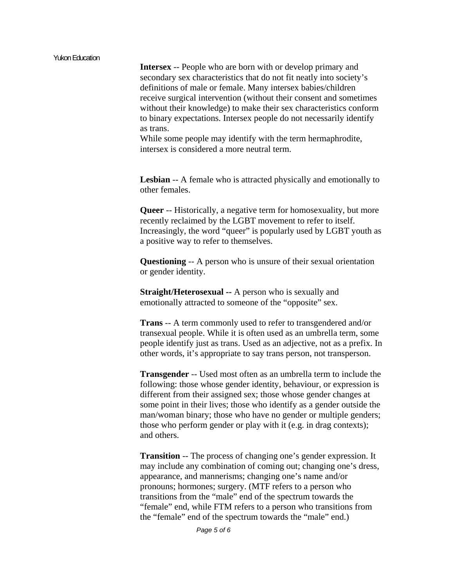**Intersex** -- People who are born with or develop primary and secondary sex characteristics that do not fit neatly into society's definitions of male or female. Many intersex babies/children receive surgical intervention (without their consent and sometimes without their knowledge) to make their sex characteristics conform to binary expectations. Intersex people do not necessarily identify as trans.

While some people may identify with the term hermaphrodite, intersex is considered a more neutral term.

**Lesbian** -- A female who is attracted physically and emotionally to other females.

**Queer** -- Historically, a negative term for homosexuality, but more recently reclaimed by the LGBT movement to refer to itself. Increasingly, the word "queer" is popularly used by LGBT youth as a positive way to refer to themselves.

**Questioning** -- A person who is unsure of their sexual orientation or gender identity.

**Straight/Heterosexual --** A person who is sexually and emotionally attracted to someone of the "opposite" sex.

**Trans** -- A term commonly used to refer to transgendered and/or transexual people. While it is often used as an umbrella term, some people identify just as trans. Used as an adjective, not as a prefix. In other words, it's appropriate to say trans person, not transperson.

**Transgender** -- Used most often as an umbrella term to include the following: those whose gender identity, behaviour, or expression is different from their assigned sex; those whose gender changes at some point in their lives; those who identify as a gender outside the man/woman binary; those who have no gender or multiple genders; those who perform gender or play with it (e.g. in drag contexts); and others.

**Transition** -- The process of changing one's gender expression. It may include any combination of coming out; changing one's dress, appearance, and mannerisms; changing one's name and/or pronouns; hormones; surgery. (MTF refers to a person who transitions from the "male" end of the spectrum towards the "female" end, while FTM refers to a person who transitions from the "female" end of the spectrum towards the "male" end.)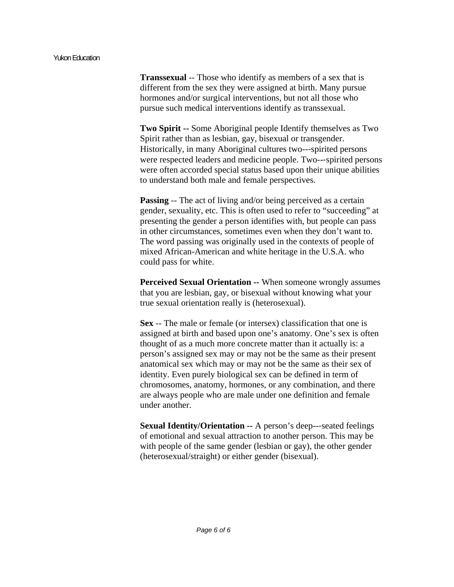#### Yukon Education

**Transsexual** -- Those who identify as members of a sex that is different from the sex they were assigned at birth. Many pursue hormones and/or surgical interventions, but not all those who pursue such medical interventions identify as transsexual.

**Two Spirit --** Some Aboriginal people Identify themselves as Two Spirit rather than as lesbian, gay, bisexual or transgender. Historically, in many Aboriginal cultures two--‐spirited persons were respected leaders and medicine people. Two---spirited persons were often accorded special status based upon their unique abilities to understand both male and female perspectives.

**Passing** -- The act of living and/or being perceived as a certain gender, sexuality, etc. This is often used to refer to "succeeding" at presenting the gender a person identifies with, but people can pass in other circumstances, sometimes even when they don't want to. The word passing was originally used in the contexts of people of mixed African-American and white heritage in the U.S.A. who could pass for white.

**Perceived Sexual Orientation --** When someone wrongly assumes that you are lesbian, gay, or bisexual without knowing what your true sexual orientation really is (heterosexual).

**Sex** -- The male or female (or intersex) classification that one is assigned at birth and based upon one's anatomy. One's sex is often thought of as a much more concrete matter than it actually is: a person's assigned sex may or may not be the same as their present anatomical sex which may or may not be the same as their sex of identity. Even purely biological sex can be defined in term of chromosomes, anatomy, hormones, or any combination, and there are always people who are male under one definition and female under another.

**Sexual Identity/Orientation --** A person's deep--‐seated feelings of emotional and sexual attraction to another person. This may be with people of the same gender (lesbian or gay), the other gender (heterosexual/straight) or either gender (bisexual).